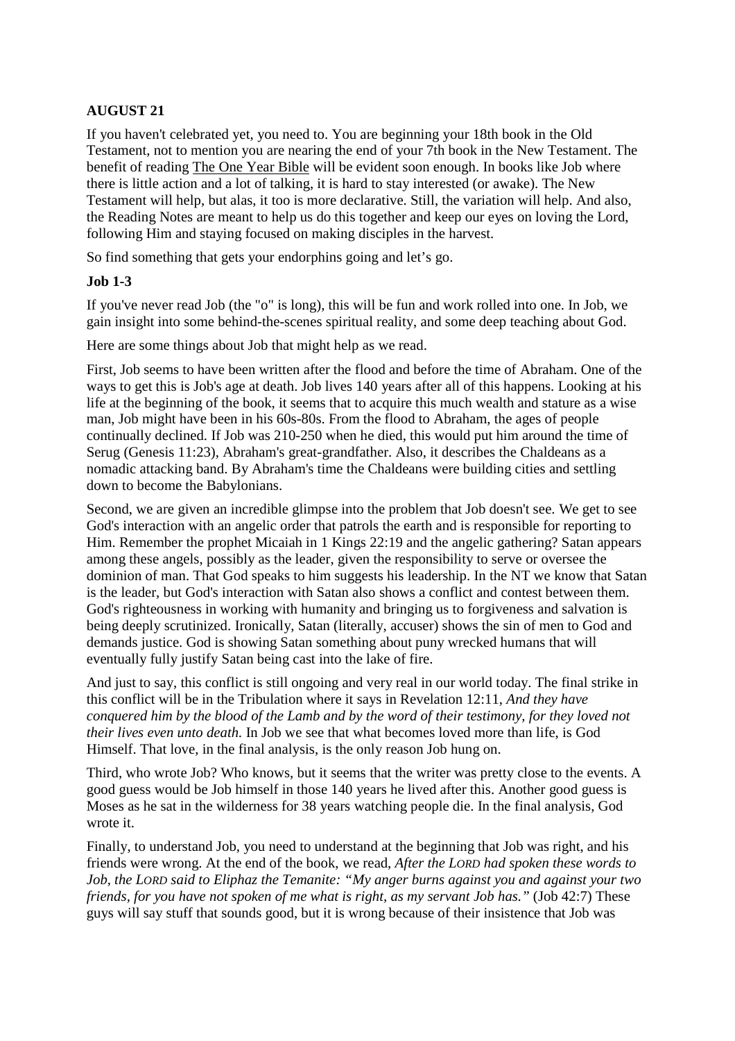# **AUGUST 21**

If you haven't celebrated yet, you need to. You are beginning your 18th book in the Old Testament, not to mention you are nearing the end of your 7th book in the New Testament. The benefit of reading The One Year Bible will be evident soon enough. In books like Job where there is little action and a lot of talking, it is hard to stay interested (or awake). The New Testament will help, but alas, it too is more declarative. Still, the variation will help. And also, the Reading Notes are meant to help us do this together and keep our eyes on loving the Lord, following Him and staying focused on making disciples in the harvest.

So find something that gets your endorphins going and let's go.

### **Job 1-3**

If you've never read Job (the "o" is long), this will be fun and work rolled into one. In Job, we gain insight into some behind-the-scenes spiritual reality, and some deep teaching about God.

Here are some things about Job that might help as we read.

First, Job seems to have been written after the flood and before the time of Abraham. One of the ways to get this is Job's age at death. Job lives 140 years after all of this happens. Looking at his life at the beginning of the book, it seems that to acquire this much wealth and stature as a wise man, Job might have been in his 60s-80s. From the flood to Abraham, the ages of people continually declined. If Job was 210-250 when he died, this would put him around the time of Serug (Genesis 11:23), Abraham's great-grandfather. Also, it describes the Chaldeans as a nomadic attacking band. By Abraham's time the Chaldeans were building cities and settling down to become the Babylonians.

Second, we are given an incredible glimpse into the problem that Job doesn't see. We get to see God's interaction with an angelic order that patrols the earth and is responsible for reporting to Him. Remember the prophet Micaiah in 1 Kings 22:19 and the angelic gathering? Satan appears among these angels, possibly as the leader, given the responsibility to serve or oversee the dominion of man. That God speaks to him suggests his leadership. In the NT we know that Satan is the leader, but God's interaction with Satan also shows a conflict and contest between them. God's righteousness in working with humanity and bringing us to forgiveness and salvation is being deeply scrutinized. Ironically, Satan (literally, accuser) shows the sin of men to God and demands justice. God is showing Satan something about puny wrecked humans that will eventually fully justify Satan being cast into the lake of fire.

And just to say, this conflict is still ongoing and very real in our world today. The final strike in this conflict will be in the Tribulation where it says in Revelation 12:11, *And they have conquered him by the blood of the Lamb and by the word of their testimony, for they loved not their lives even unto death.* In Job we see that what becomes loved more than life, is God Himself. That love, in the final analysis, is the only reason Job hung on.

Third, who wrote Job? Who knows, but it seems that the writer was pretty close to the events. A good guess would be Job himself in those 140 years he lived after this. Another good guess is Moses as he sat in the wilderness for 38 years watching people die. In the final analysis, God wrote it.

Finally, to understand Job, you need to understand at the beginning that Job was right, and his friends were wrong. At the end of the book, we read, *After the LORD had spoken these words to Job, the LORD said to Eliphaz the Temanite: "My anger burns against you and against your two friends, for you have not spoken of me what is right, as my servant Job has."* (Job 42:7) These guys will say stuff that sounds good, but it is wrong because of their insistence that Job was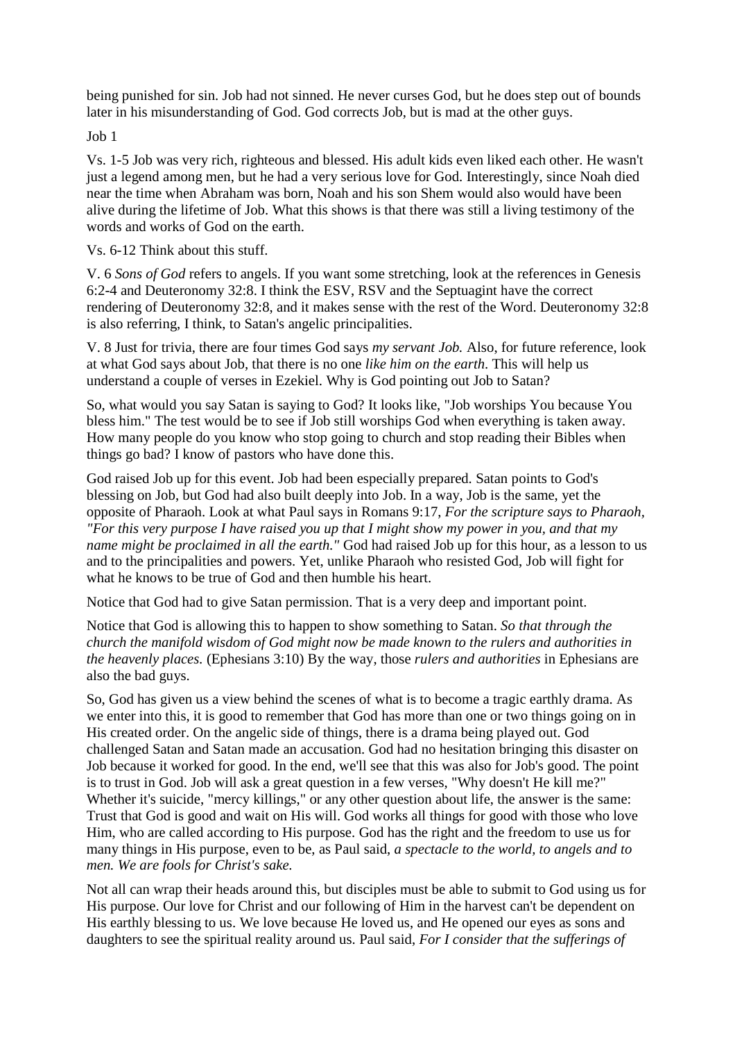being punished for sin. Job had not sinned. He never curses God, but he does step out of bounds later in his misunderstanding of God. God corrects Job, but is mad at the other guys.

Job 1

Vs. 1-5 Job was very rich, righteous and blessed. His adult kids even liked each other. He wasn't just a legend among men, but he had a very serious love for God. Interestingly, since Noah died near the time when Abraham was born, Noah and his son Shem would also would have been alive during the lifetime of Job. What this shows is that there was still a living testimony of the words and works of God on the earth.

Vs. 6-12 Think about this stuff.

V. 6 *Sons of God* refers to angels. If you want some stretching, look at the references in Genesis 6:2-4 and Deuteronomy 32:8. I think the ESV, RSV and the Septuagint have the correct rendering of Deuteronomy 32:8, and it makes sense with the rest of the Word. Deuteronomy 32:8 is also referring, I think, to Satan's angelic principalities.

V. 8 Just for trivia, there are four times God says *my servant Job.* Also, for future reference, look at what God says about Job, that there is no one *like him on the earth*. This will help us understand a couple of verses in Ezekiel. Why is God pointing out Job to Satan?

So, what would you say Satan is saying to God? It looks like, "Job worships You because You bless him." The test would be to see if Job still worships God when everything is taken away. How many people do you know who stop going to church and stop reading their Bibles when things go bad? I know of pastors who have done this.

God raised Job up for this event. Job had been especially prepared. Satan points to God's blessing on Job, but God had also built deeply into Job. In a way, Job is the same, yet the opposite of Pharaoh. Look at what Paul says in Romans 9:17, *For the scripture says to Pharaoh, "For this very purpose I have raised you up that I might show my power in you, and that my name might be proclaimed in all the earth."* God had raised Job up for this hour, as a lesson to us and to the principalities and powers. Yet, unlike Pharaoh who resisted God, Job will fight for what he knows to be true of God and then humble his heart.

Notice that God had to give Satan permission. That is a very deep and important point.

Notice that God is allowing this to happen to show something to Satan. *So that through the church the manifold wisdom of God might now be made known to the rulers and authorities in the heavenly places.* (Ephesians 3:10) By the way, those *rulers and authorities* in Ephesians are also the bad guys.

So, God has given us a view behind the scenes of what is to become a tragic earthly drama. As we enter into this, it is good to remember that God has more than one or two things going on in His created order. On the angelic side of things, there is a drama being played out. God challenged Satan and Satan made an accusation. God had no hesitation bringing this disaster on Job because it worked for good. In the end, we'll see that this was also for Job's good. The point is to trust in God. Job will ask a great question in a few verses, "Why doesn't He kill me?" Whether it's suicide, "mercy killings," or any other question about life, the answer is the same: Trust that God is good and wait on His will. God works all things for good with those who love Him, who are called according to His purpose. God has the right and the freedom to use us for many things in His purpose, even to be, as Paul said, *a spectacle to the world, to angels and to men. We are fools for Christ's sake.*

Not all can wrap their heads around this, but disciples must be able to submit to God using us for His purpose. Our love for Christ and our following of Him in the harvest can't be dependent on His earthly blessing to us. We love because He loved us, and He opened our eyes as sons and daughters to see the spiritual reality around us. Paul said, *For I consider that the sufferings of*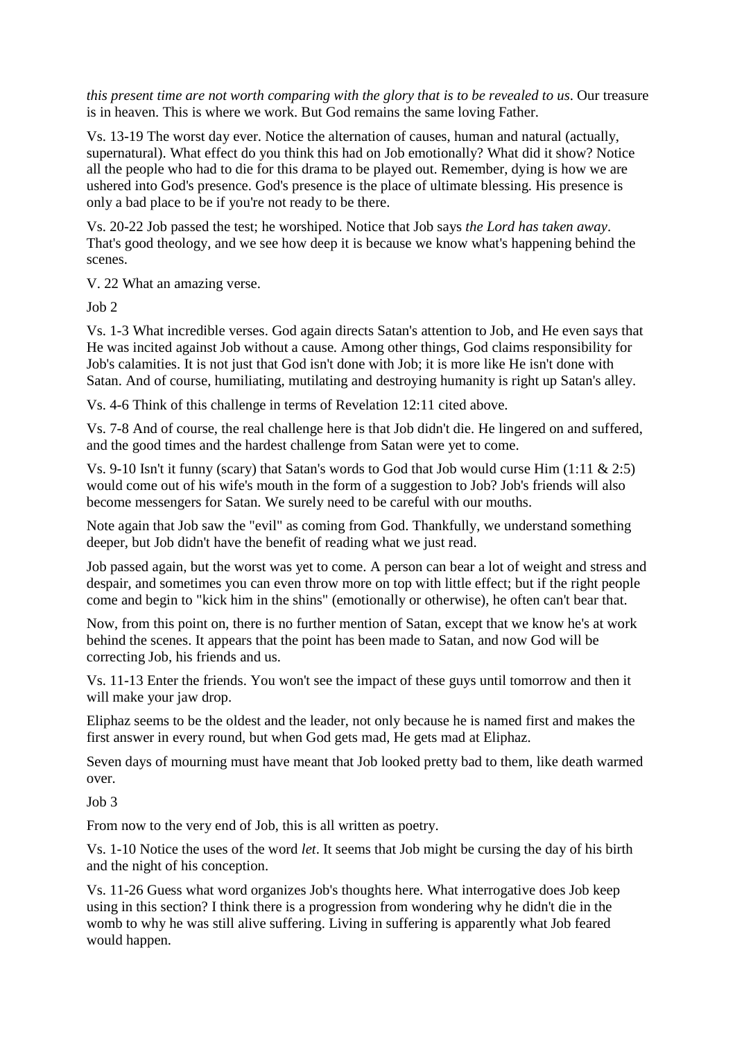*this present time are not worth comparing with the glory that is to be revealed to us*. Our treasure is in heaven. This is where we work. But God remains the same loving Father.

Vs. 13-19 The worst day ever. Notice the alternation of causes, human and natural (actually, supernatural). What effect do you think this had on Job emotionally? What did it show? Notice all the people who had to die for this drama to be played out. Remember, dying is how we are ushered into God's presence. God's presence is the place of ultimate blessing. His presence is only a bad place to be if you're not ready to be there.

Vs. 20-22 Job passed the test; he worshiped. Notice that Job says *the Lord has taken away*. That's good theology, and we see how deep it is because we know what's happening behind the scenes.

V. 22 What an amazing verse.

Job 2

Vs. 1-3 What incredible verses. God again directs Satan's attention to Job, and He even says that He was incited against Job without a cause. Among other things, God claims responsibility for Job's calamities. It is not just that God isn't done with Job; it is more like He isn't done with Satan. And of course, humiliating, mutilating and destroying humanity is right up Satan's alley.

Vs. 4-6 Think of this challenge in terms of Revelation 12:11 cited above.

Vs. 7-8 And of course, the real challenge here is that Job didn't die. He lingered on and suffered, and the good times and the hardest challenge from Satan were yet to come.

Vs. 9-10 Isn't it funny (scary) that Satan's words to God that Job would curse Him (1:11 & 2:5) would come out of his wife's mouth in the form of a suggestion to Job? Job's friends will also become messengers for Satan. We surely need to be careful with our mouths.

Note again that Job saw the "evil" as coming from God. Thankfully, we understand something deeper, but Job didn't have the benefit of reading what we just read.

Job passed again, but the worst was yet to come. A person can bear a lot of weight and stress and despair, and sometimes you can even throw more on top with little effect; but if the right people come and begin to "kick him in the shins" (emotionally or otherwise), he often can't bear that.

Now, from this point on, there is no further mention of Satan, except that we know he's at work behind the scenes. It appears that the point has been made to Satan, and now God will be correcting Job, his friends and us.

Vs. 11-13 Enter the friends. You won't see the impact of these guys until tomorrow and then it will make your jaw drop.

Eliphaz seems to be the oldest and the leader, not only because he is named first and makes the first answer in every round, but when God gets mad, He gets mad at Eliphaz.

Seven days of mourning must have meant that Job looked pretty bad to them, like death warmed over.

Job 3

From now to the very end of Job, this is all written as poetry.

Vs. 1-10 Notice the uses of the word *let*. It seems that Job might be cursing the day of his birth and the night of his conception.

Vs. 11-26 Guess what word organizes Job's thoughts here. What interrogative does Job keep using in this section? I think there is a progression from wondering why he didn't die in the womb to why he was still alive suffering. Living in suffering is apparently what Job feared would happen.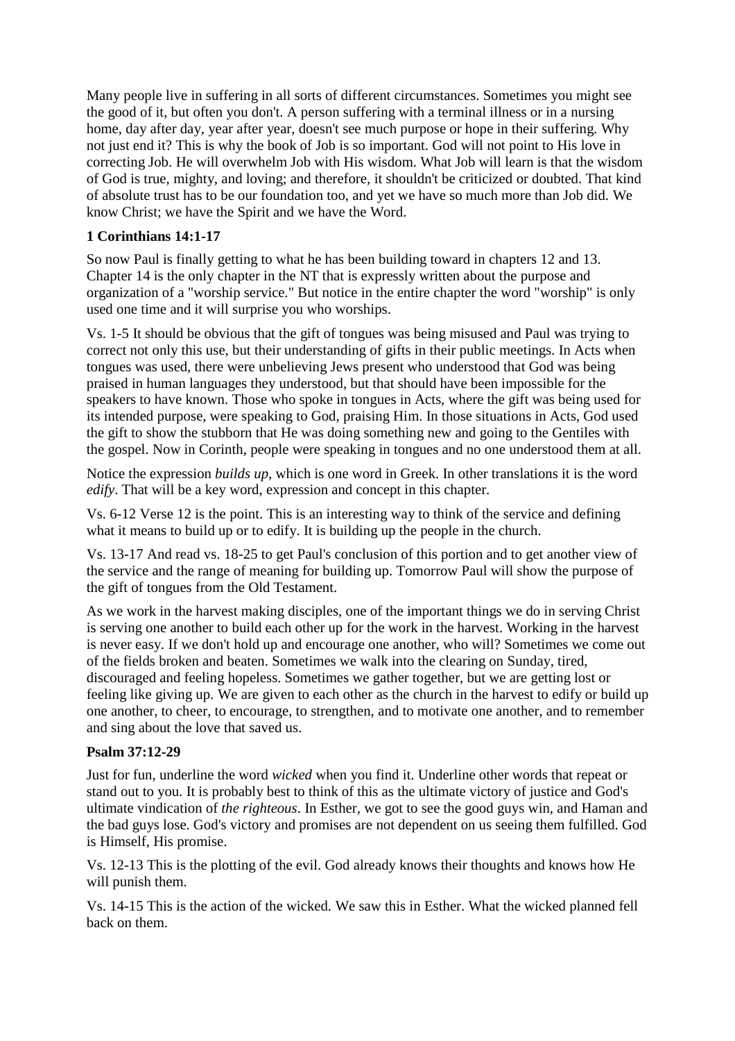Many people live in suffering in all sorts of different circumstances. Sometimes you might see the good of it, but often you don't. A person suffering with a terminal illness or in a nursing home, day after day, year after year, doesn't see much purpose or hope in their suffering. Why not just end it? This is why the book of Job is so important. God will not point to His love in correcting Job. He will overwhelm Job with His wisdom. What Job will learn is that the wisdom of God is true, mighty, and loving; and therefore, it shouldn't be criticized or doubted. That kind of absolute trust has to be our foundation too, and yet we have so much more than Job did. We know Christ; we have the Spirit and we have the Word.

## **1 Corinthians 14:1-17**

So now Paul is finally getting to what he has been building toward in chapters 12 and 13. Chapter 14 is the only chapter in the NT that is expressly written about the purpose and organization of a "worship service." But notice in the entire chapter the word "worship" is only used one time and it will surprise you who worships.

Vs. 1-5 It should be obvious that the gift of tongues was being misused and Paul was trying to correct not only this use, but their understanding of gifts in their public meetings. In Acts when tongues was used, there were unbelieving Jews present who understood that God was being praised in human languages they understood, but that should have been impossible for the speakers to have known. Those who spoke in tongues in Acts, where the gift was being used for its intended purpose, were speaking to God, praising Him. In those situations in Acts, God used the gift to show the stubborn that He was doing something new and going to the Gentiles with the gospel. Now in Corinth, people were speaking in tongues and no one understood them at all.

Notice the expression *builds up*, which is one word in Greek. In other translations it is the word *edify*. That will be a key word, expression and concept in this chapter.

Vs. 6-12 Verse 12 is the point. This is an interesting way to think of the service and defining what it means to build up or to edify. It is building up the people in the church.

Vs. 13-17 And read vs. 18-25 to get Paul's conclusion of this portion and to get another view of the service and the range of meaning for building up. Tomorrow Paul will show the purpose of the gift of tongues from the Old Testament.

As we work in the harvest making disciples, one of the important things we do in serving Christ is serving one another to build each other up for the work in the harvest. Working in the harvest is never easy. If we don't hold up and encourage one another, who will? Sometimes we come out of the fields broken and beaten. Sometimes we walk into the clearing on Sunday, tired, discouraged and feeling hopeless. Sometimes we gather together, but we are getting lost or feeling like giving up. We are given to each other as the church in the harvest to edify or build up one another, to cheer, to encourage, to strengthen, and to motivate one another, and to remember and sing about the love that saved us.

### **Psalm 37:12-29**

Just for fun, underline the word *wicked* when you find it. Underline other words that repeat or stand out to you. It is probably best to think of this as the ultimate victory of justice and God's ultimate vindication of *the righteous*. In Esther, we got to see the good guys win, and Haman and the bad guys lose. God's victory and promises are not dependent on us seeing them fulfilled. God is Himself, His promise.

Vs. 12-13 This is the plotting of the evil. God already knows their thoughts and knows how He will punish them.

Vs. 14-15 This is the action of the wicked. We saw this in Esther. What the wicked planned fell back on them.